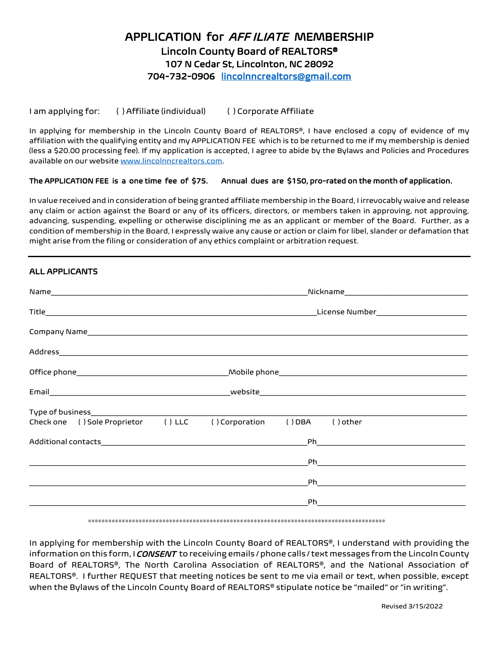# APPLICATION for *AFF ILIATE* MEMBERSHIP Lincoln County Board of REALTORS® 107 N Cedar St, Lincolnton, NC 28092 704-732-0906 [lincolnncrealtors@gmail.com](mailto:lincolnncrealtors@gmail.com)

I am applying for: ( ) Affiliate (individual) ( ) Corporate Affiliate

In applying for membership in the Lincoln County Board of REALTORS®, I have enclosed a copy of evidence of my affiliation with the qualifying entity and my APPLICATION FEE which is to be returned to me if my membership is denied (less a \$20.00 processing fee). If my application is accepted, I agree to abide by the Bylaws and Policies and Procedures available on our website [www.lincolnncrealtors.com.](http://www.lincolnncrealtors.com/)

#### The APPLICATION FEE is a one time fee of \$75. Annual dues are \$150, pro-rated on the month of application.

In value received and in consideration of being granted affiliate membership in the Board, I irrevocably waive and release any claim or action against the Board or any of its officers, directors, or members taken in approving, not approving, advancing, suspending, expelling or otherwise disciplining me as an applicant or member of the Board. Further, as a condition of membership in the Board, I expressly waive any cause or action or claim for libel, slander or defamation that might arise from the filing or consideration of any ethics complaint or arbitration request.

### ALL APPLICANTS

|                                     | License Number________________________ |         |            |  |  |
|-------------------------------------|----------------------------------------|---------|------------|--|--|
|                                     |                                        |         |            |  |  |
|                                     |                                        |         |            |  |  |
|                                     |                                        |         |            |  |  |
|                                     |                                        |         |            |  |  |
|                                     |                                        |         |            |  |  |
| Check one () Sole Proprietor () LLC | ( ) Corporation                        | ( ) DBA | $()$ other |  |  |
|                                     |                                        |         |            |  |  |
|                                     |                                        |         |            |  |  |
|                                     |                                        |         |            |  |  |
|                                     |                                        |         |            |  |  |
|                                     |                                        |         |            |  |  |

#### \*\*\*\*\*\*\*\*\*\*\*\*\*\*\*\*\*\*\*\*\*\*\*\*\*\*\*\*\*\*\*\*\*\*\*\*\*\*\*\*\*\*\*\*\*\*\*\*\*\*\*\*\*\*\*\*\*\*\*\*\*\*\*\*\*\*\*\*\*\*\*\*\*\*\*\*\*\*\*\*\*\*\*\*\*\*\*\*

In applying for membership with the Lincoln County Board of REALTORS®, I understand with providing the information on this form, I *CONSENT* to receiving emails / phone calls / text messages from the Lincoln County Board of REALTORS®, The North Carolina Association of REALTORS®, and the National Association of REALTORS®. I further REQUEST that meeting notices be sent to me via email or text, when possible, except when the Bylaws of the Lincoln County Board of REALTORS® stipulate notice be "mailed" or "in writing".